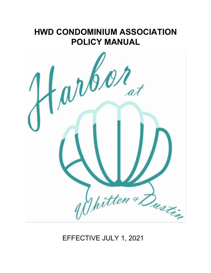# **HWD CONDOMINIUM ASSOCIATION POLICY MANUAL**



EFFECTIVE JULY 1, 2021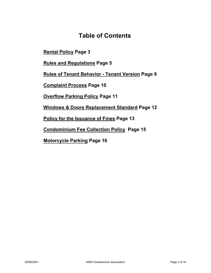### **Table of Contents**

**Rental Policy Page 3**

**Rules and Regulations Page 5**

**Rules of Tenant Behavior - Tenant Version Page 9**

**Complaint Process Page 10**

**Overflow Parking Policy Page 11**

**Windows & Doors Replacement Standard Page 12**

**Policy for the Issuance of Fines Page 13**

**Condominium Fee Collection Policy Page 15**

**Motorcycle Parking Page 16**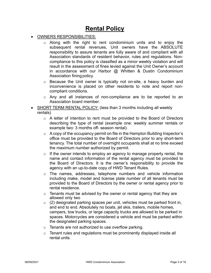# **Rental Policy**

- OWNERS RESPONSIBILITIES:
	- o Along with the right to rent condominium units and to enjoy the subsequent rental revenues, Unit owners have the ABSOLUTE responsibility to assure tenants are fully aware of and compliant with all Association standards of resident behavior, rules and regulations. Noncompliance to this policy is classified as a minor weekly violation and will result in the assessment of fines levied against the Unit Owner's account in accordance with our Harbor @ Whitten & Dustin Condominium Association fining policy.
	- o Because the Unit owner is typically not on-site, a heavy burden and inconvenience is placed on other residents to note and report noncompliant conditions.
	- o Any and all instances of non-compliance are to be reported to an Association board member.
- SHORT TERM RENTAL POLICY: (less than 3 months including all weekly rentals)
	- o A letter of intention to rent must be provided to the Board of Directors describing the type of rental (example one: weekly summer rentals or example two: 3 months off- season rental).
	- o A copy of the occupancy permit on file in the Hampton Building Inspector's office must be provided to the Board of Directors prior to any short-term tenancy. The total number of overnight occupants shall at no time exceed the maximum number authorized by permit.
	- $\circ$  If the owner intends to employ an agency to manage property rental, the name and contact information of the rental agency must be provided to the Board of Directors. It is the owner's responsibility to provide the agency with an up-to-date copy of HWD Tenant Rules.
	- $\circ$  The names, addresses, telephone numbers and vehicle information including make, model and license plate number of all tenants must be provided to the Board of Directors by the owner or rental agency prior to rental residence.
	- $\circ$  Tenants must be advised by the owner or rental agency that they are allowed only two
	- $\circ$  (2) designated parking spaces per unit, vehicles must be parked front in, and end to end. Absolutely no boats, jet skis, trailers, mobile homes, campers, tow trucks, or large capacity trucks are allowed to be parked in spaces. Motorcycles are considered a vehicle and must be parked within the designated parking spaces.
	- o Tenants are not authorized to use overflow parking.
	- o Tenant rules and regulations must be prominently displayed inside all rental units.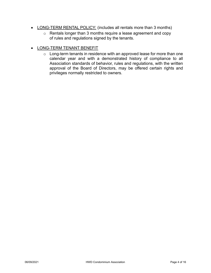- LONG-TERM RENTAL POLICY: (includes all rentals more than 3 months)
	- o Rentals longer than 3 months require a lease agreement and copy of rules and regulations signed by the tenants.

#### • LONG-TERM TENANT BENEFIT

 $\circ$  Long-term tenants in residence with an approved lease for more than one calendar year and with a demonstrated history of compliance to all Association standards of behavior, rules and regulations, with the written approval of the Board of Directors, may be offered certain rights and privileges normally restricted to owners.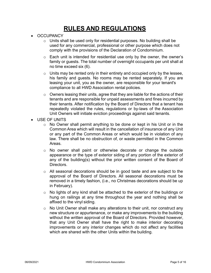# **RULES AND REGULATIONS**

- OCCUPANCY
	- o Units shall be used only for residential purposes. No building shall be used for any commercial, professional or other purpose which does not comply with the provisions of the Declaration of Condominium.
	- o Each unit is intended for residential use only by the owner, the owner's family or guests. The total number of overnight occupants per unit shall at no time exceed six (6).
	- $\circ$  Units may be rented only in their entirety and occupied only by the lessee, his family and guests. No rooms may be rented separately. If you are leasing your unit, you as the owner, are responsible for your tenant's compliance to all HWD Association rental policies.
	- $\circ$  Owners leasing their units, agree that they are liable for the actions of their tenants and are responsible for unpaid assessments and fines incurred by their tenants. After notification by the Board of Directors that a tenant has repeatedly violated the rules, regulations or by-laws of the Association Unit Owners will initiate eviction proceedings against said tenants.
- USE OF UNITS
	- $\circ$  No Owner shall permit anything to be done or kept in his Unit or in the Common Area which will result in the cancellation of insurance of any Unit or any part of the Common Areas or which would be in violation of any law. There shall be no obstruction of, or waste permitted in the Common Areas.
	- $\circ$  No owner shall paint or otherwise decorate or change the outside appearance or the type of exterior siding of any portion of the exterior of any of the building(s) without the prior written consent of the Board of Directors.
	- $\circ$  All seasonal decorations should be in good taste and are subject to the approval of the Board of Directors. All seasonal decorations must be removed in a timely fashion, (i.e., no Christmas decorations should be up in February).
	- o No lights of any kind shall be attached to the exterior of the buildings or hung on railings at any time throughout the year and nothing shall be affixed to the vinyl siding.
	- $\circ$  No Unit Owner shall make any alterations to their unit, nor construct any new structure or appurtenance, or make any improvements to the building without the written approval of the Board of Directors. Provided however, that any Unit Owner shall have the right to make interior decorating improvements or any interior changes which do not affect any facilities which are shared with the other Units within the building.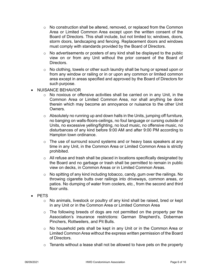- $\circ$  No construction shall be altered, removed, or replaced from the Common Area or Limited Common Area except upon the written consent of the Board of Directors. This shall include, but not limited to; windows, doors, storm doors, landscaping and fencing. Replacement doors and windows must comply with standards provided by the Board of Directors.
- $\circ$  No advertisements or posters of any kind shall be displayed to the public view on or from any Unit without the prior consent of the Board of Directors.
- $\circ$  No clothing, towels or other such laundry shall be hung or spread upon or from any window or railing or in or upon any common or limited common area except in areas specified and approved by the Board of Directors for such purpose.
- NUISANCE BEHAVIOR
	- o No noxious or offensive activities shall be carried on in any Unit, in the Common Area or Limited Common Area, nor shall anything be done therein which may become an annoyance or nuisance to the other Unit Owners.
	- $\circ$  Absolutely no running up and down halls in the Units, jumping off furniture, no banging on walls-floors-ceilings, no foul language or cursing outside of Units, no excessive yelling/fighting, no loud music, no offensive music, no disturbances of any kind before 9:00 AM and after 9:00 PM according to Hampton town ordinance.
	- $\circ$  The use of surround sound systems and or heavy bass speakers at any time in any Unit, in the Common Area or Limited Common Area is strictly prohibited.
	- o All refuse and trash shall be placed in locations specifically designated by the Board and no garbage or trash shall be permitted to remain in public view on decks, in Common Areas or in Limited Common Areas.
	- o No spitting of any kind including tobacco, candy, gum over the railings. No throwing cigarette butts over railings into driveways, common areas, or patios. No dumping of water from coolers, etc., from the second and third floor units.
- PETS
	- o No animals, livestock or poultry of any kind shall be raised, bred or kept in any Unit or in the Common Area or Limited Common Area
	- $\circ$  The following breeds of dogs are not permitted on the property per the Association's insurance restrictions: German Shepherd's, Doberman Pinchers, Rottweilers, and Pit Bulls.
	- o No household pets shall be kept in any Unit or in the Common Area or Limited Common Area without the express written permission of the Board of Directors.
	- $\circ$  Tenants without a lease shall not be allowed to have pets on the property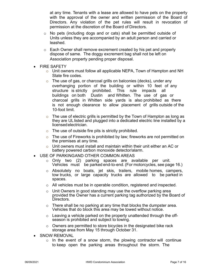at any time. Tenants with a lease are allowed to have pets on the property with the approval of the owner and written permission of the Board of Directors. Any violation of the pet rules will result in revocation of permission at the discretion of the Board of Directors.

- $\circ$  No pets (including dogs and or cats) shall be permitted outside of Units unless they are accompanied by an adult person and carried or leashed.
- $\circ$  Each Owner shall remove excrement created by his pet and properly dispose of same. The doggy excrement bag shall not be left on Association property pending proper disposal.
- **FIRE SAFETY** 
	- $\circ$  Unit owners must follow all applicable NEPA, Town of Hampton and NH State fire codes.
	- $\circ$  The use of gas, or charcoal grills on balconies (decks), under any overhanging portion of the building or within 10 feet of any structure is strictly prohibited. This rule impacts all buildings on both Dustin and Whitten. The use of gas or charcoal grills in Whitten side yards is also prohibited as there is not enough clearance to allow placement of grills outside of the 10-foot limit.
	- $\circ$  The use of electric grills is permitted by the Town of Hampton as long as they are UL listed and plugged into a dedicated electric line installed by a licensed electrician.
	- o The use of outside fire pits is strictly prohibited.
	- $\circ$  The use of Fireworks is prohibited by law; fireworks are not permitted on the premises at any time.
	- $\circ$  Unit owners must install and maintain within their unit either an AC or battery powered carbon monoxide detector/alarm.
- USE OF PARKINGAND OTHER COMMON AREAS
	- o Only two (2) parking spaces are available per unit. Vehicles must be parked end-to-end. (For motorcycles, see page 16.)
	- o Absolutely no boats, jet skis, trailers, mobile homes, campers, tow trucks, or large capacity trucks are allowed to be parked in spaces.
	- $\circ$  All vehicles must be in operable condition, registered and inspected.
	- $\circ$  Unit Owners in good standing may use the overflow parking area provided the Owner has a current parking tag authorized by the Board of Directors.
	- $\circ$  There shall be no parking at any time that blocks the dumpster area. Vehicles that do block this area may be towed without notice.
	- $\circ$  Leaving a vehicle parked on the property unattended through the offseason is prohibited and subject to towing.
	- o Owners are permitted to store bicycles in the designated bike rack storage area from May 15 through October 31.
- **SNOW REMOVAL** 
	- $\circ$  In the event of a snow storm, the plowing contractor will continue to keep open the parking areas throughout the storm. The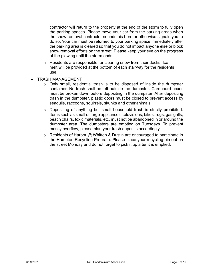contractor will return to the property at the end of the storm to fully open the parking spaces. Please move your car from the parking areas when the snow removal contractor sounds his horn or otherwise signals you to do so. Your car must be returned to your parking space immediately after the parking area is cleared so that you do not impact anyone else or block snow removal efforts on the street. Please keep your eye on the progress of the plowing until the storm ends.

- o Residents are responsible for clearing snow from their decks. Ice melt will be provided at the bottom of each stairway for the residents use.
- TRASH MANAGEMENT
	- $\circ$  Only small, residential trash is to be disposed of inside the dumpster container. No trash shall be left outside the dumpster. Cardboard boxes must be broken down before depositing in the dumpster. After depositing trash in the dumpster, plastic doors must be closed to prevent access by seagulls, raccoons, squirrels, skunks and other animals.
	- o Depositing of anything but small household trash is strictly prohibited. Items such as small or large appliances, televisions, bikes, rugs, gas grills, beach chairs, toxic materials, etc. must not be abandoned in or around the dumpster area. The dumpsters are emptied on Tuesdays. To prevent messy overflow, please plan your trash deposits accordingly.
	- $\circ$  Residents of Harbor @ Whitten & Dustin are encouraged to participate in the Hampton Recycling Program. Please place your recycling bin out on the street Monday and do not forget to pick it up after it is emptied.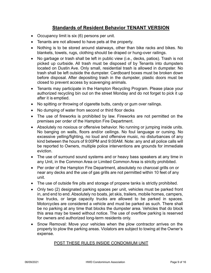#### **Standards of Resident Behavior TENANT VERSION**

- Occupancy limit is six (6) persons per unit.
- Tenants are not allowed to have pets at the property.
- Nothing is to be stored around stairways, other than bike racks and bikes. No blankets, towels, rugs, clothing should be draped or hung-over railings.
- No garbage or trash shall be left in public view (i.e., decks, patios). Trash is not picked up curbside. All trash must be disposed of by Tenants into dumpsters located on Dustin Ave. Only small, residential trash is allowed in dumpster. No trash shall be left outside the dumpster. Cardboard boxes must be broken down before disposal. After depositing trash in the dumpster, plastic doors must be closed to prevent access by scavenging animals.
- Tenants may participate in the Hampton Recycling Program. Please place your authorized recycling bin out on the street Monday and do not forget to pick it up after it is emptied.
- No spitting or throwing of cigarette butts, candy or gum over railings.
- No dumping of water from second or third floor decks
- The use of fireworks is prohibited by law. Fireworks are not permitted on the premises per order of the Hampton Fire Department.
- Absolutely no noxious or offensive behavior. No running or jumping inside units. No banging on walls, floors and/or ceilings. No foul language or cursing. No excessive yelling/fighting, no loud and offensive music, no disturbances of any kind between the hours of 9:00PM and 9:00AM. Note: any and all police calls will be reported to Owners, multiple police interventions are grounds for immediate eviction.
- The use of surround sound systems and or heavy bass speakers at any time in any Unit, in the Common Area or Limited Common Area is strictly prohibited.
- Per order of the Hampton Fire Department, absolutely no charcoal grills on or near any decks and the use of gas grills are not permitted within 10 feet of any unit.
- The use of outside fire pits and storage of propane tanks is strictly prohibited.
- Only two (2) designated parking spaces per unit, vehicles must be parked front in, and end to end. Absolutely no boats, jet skis, trailers, mobile homes, campers, tow trucks, or large capacity trucks are allowed to be parked in spaces. Motorcycles are considered a vehicle and must be parked as such. There shall be no parking at any time that blocks the dumpster area. Vehicles that do block this area may be towed without notice. The use of overflow parking is reserved for owners and authorized long-term residents only.
- Snow Removal: Move your vehicles when the plow contractor arrives on the property to plow the parking areas. Violators are subject to towing at the Owner's expense.

#### POST THESE RULES INSIDE CONDOMIUM UNIT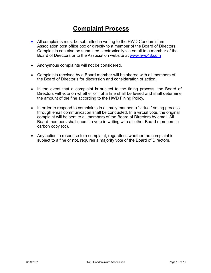# **Complaint Process**

- All complaints must be submitted in writing to the HWD Condominium Association post office box or directly to a member of the Board of Directors. Complaints can also be submitted electronically via email to a member of the Board of Directors or to the Association website at www.hwd48.com
- Anonymous complaints will not be considered.
- Complaints received by a Board member will be shared with all members of the Board of Director's for discussion and consideration of action.
- In the event that a complaint is subject to the fining process, the Board of Directors will vote on whether or not a fine shall be levied and shall determine the amount of the fine according to the HWD Fining Policy.
- In order to respond to complaints in a timely manner, a "virtual" voting process through email communication shall be conducted. In a virtual vote, the original complaint will be sent to all members of the Board of Directors by email. All Board members shall submit a vote in writing with all other Board members in carbon copy (cc).
- Any action in response to a complaint, regardless whether the complaint is subject to a fine or not, requires a majority vote of the Board of Directors.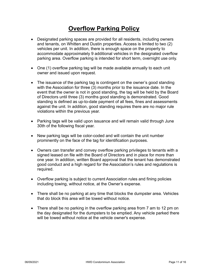# **Overflow Parking Policy**

- Designated parking spaces are provided for all residents, including owners and tenants, on Whitten and Dustin properties. Access is limited to two (2) vehicles per unit. In addition, there is enough space on the property to accommodate approximately 9 additional vehicles in the designated overflow parking area. Overflow parking is intended for short term, overnight use only.
- One (1) overflow parking tag will be made available annually to each unit owner and issued upon request.
- The issuance of the parking tag is contingent on the owner's good standing with the Association for three (3) months prior to the issuance date. In the event that the owner is not in good standing, the tag will be held by the Board of Directors until three (3) months good standing is demonstrated. Good standing is defined as up-to-date payment of all fees, fines and assessments against the unit. In addition, good standing requires there are no major rule violations within the previous year.
- Parking tags will be valid upon issuance and will remain valid through June 30th of the following fiscal year.
- New parking tags will be color-coded and will contain the unit number prominently on the face of the tag for identification purposes.
- Owners can transfer and convey overflow parking privileges to tenants with a signed leased on file with the Board of Directors and in place for more than one year. In addition, written Board approval that the tenant has demonstrated good conduct and a high regard for the Association's rules and regulations is required.
- Overflow parking is subject to current Association rules and fining policies including towing, without notice, at the Owner's expense.
- There shall be no parking at any time that blocks the dumpster area. Vehicles that do block this area will be towed without notice.
- There shall be no parking in the overflow parking area from 7 am to 12 pm on the day designated for the dumpsters to be emptied. Any vehicle parked there will be towed without notice at the vehicle owner's expense.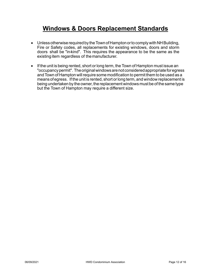### **Windows & Doors Replacement Standards**

- Unless otherwise required by the Town of Hampton or to comply with NH Building, Fire or Safety codes, all replacements for existing windows, doors and storm doors shall be "in-kind". This requires the appearance to be the same as the existing item regardless of the manufacturer.
- If the unit is being rented, short or long term, the Town of Hampton must issue an "occupancy permit". The original windows are not considered appropriate for egress andTown of Hampton will require some modification to permit them to be used as a means of egress. If the unit is rented, short or long term, and window replacement is being undertaken by the owner, the replacement windows must be of the same type but the Town of Hampton may require a different size.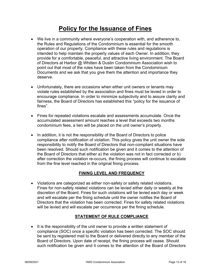# **Policy for the Issuance of Fines**

- We live in a community where everyone's cooperation with, and adherence to, the Rules and Regulations of the Condominium is essential for the smooth operation of our property. Compliance with these rules and regulations is intended to help maintain the property values of each Owner. In addition, they provide for a comfortable, peaceful, and attractive living environment. The Board of Directors at Harbor @ Whitten & Dustin Condominium Association wish to point out that most of the rules have been taken from the Condominium Documents and we ask that you give them the attention and importance they deserve.
- Unfortunately, there are occasions when either unit owners or tenants may violate rules established by the association and fines must be levied in order to encourage compliance. In order to minimize subjectivity and to assure clarity and fairness, the Board of Directors has established this "policy for the issuance of fines".
- Fines for repeated violations escalate and assessments accumulate. Once the accumulated assessment amount reaches a level that exceeds two months condominium fees, a lien will be placed on the unit owner's property.
- In addition, it is not the responsibility of the Board of Directors to police compliance after notification of violation. This policy gives the unit owner the sole responsibility to notify the Board of Directors that non-compliant situations have been resolved. Should such notification be given and it comes to the attention of the Board of Directors that either a) the violation was not in fact corrected or b) after correction the violation re-occurs, the fining process will continue to escalate from the fine level reached in the original fining process.

#### **FINING LEVEL AND FREQUENCY**

• Violations are categorized as either non-safety or safety related violations. Fines for non-safety related violations can be levied either daily or weekly at the discretion of the Board. Fines for such violations will be levied each day or week and will escalate per the fining schedule until the owner notifies the Board of Directors that the violation has been corrected. Fines for safety related violations will be levied and will escalate per occurrence per the fining schedule.

#### **STATEMENT OF RULE COMPLIANCE**

• It is the responsibility of the unit owner to provide a written statement of compliance (SOC) once a specific violation has been corrected. The SOC should be sent by registered mail to the Board or delivered directly to any member of the Board of Directors. Upon date of receipt, the fining process will cease. Should such notification be given and it comes to the attention of the Board of Directors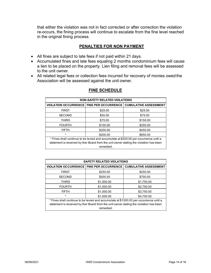that either the violation was not in fact corrected or after correction the violation re-occurs, the fining process will continue to escalate from the fine level reached in the original fining process.

#### **PENALTIES FOR NON PAYMENT**

- All fines are subject to late fees if not paid within 21 days.
- Accumulated fines and late fees equaling 2 months condominium fees will cause a lien to be placed on the property. Lien filing and removal fees will be assessed to the unit owner.
- All related legal fees or collection fees incurred for recovery of monies owed the Association will be assessed against the unit owner.

| <b>NON-SAFETY RELATED VIOLATIONS</b>                                                   |          |                                                                |  |
|----------------------------------------------------------------------------------------|----------|----------------------------------------------------------------|--|
|                                                                                        |          | VIOLATION OCCURRENCE FINE PER OCCURRENCE CUMULATIVE ASSESSMENT |  |
| <b>FIRST</b>                                                                           | \$25.00  | \$25.00                                                        |  |
| <b>SECOND</b>                                                                          | \$50.00  | \$75.00                                                        |  |
| <b>THIRD</b>                                                                           | \$75.00  | \$150.00                                                       |  |
| <b>FOURTH</b>                                                                          | \$100.00 | \$250.00                                                       |  |
| <b>FIFTH</b>                                                                           | \$200.00 | \$450.00                                                       |  |
| $\star$                                                                                | \$200.00 | \$650.00                                                       |  |
| * Fines shall continue to be levied and accumulate at \$200.00 per occurrence until a  |          |                                                                |  |
| statement is received by ther Board from the unit owner stating the violation has been |          |                                                                |  |
| remedied.                                                                              |          |                                                                |  |

#### **FINE SCHEDULE**

| <b>SAFETY RELATED VIOLATIONS</b>                                                       |            |                                                                |  |
|----------------------------------------------------------------------------------------|------------|----------------------------------------------------------------|--|
|                                                                                        |            | VIOLATION OCCURRENCE FINE PER OCCURRENCE CUMULATIVE ASSESSMENT |  |
| <b>FIRST</b>                                                                           | \$250.00   | \$250.00                                                       |  |
| <b>SECOND</b>                                                                          | \$500.00   | \$750.00                                                       |  |
| <b>THIRD</b>                                                                           | \$1,000.00 | \$1,750.00                                                     |  |
| <b>FOURTH</b>                                                                          | \$1,000.00 | \$2,750.00                                                     |  |
| <b>FIFTH</b>                                                                           | \$1,000.00 | \$3,750.00                                                     |  |
| $\star$                                                                                | \$1,000.00 | \$4.750.00                                                     |  |
| * Fines shall continue to be levied and accumulate at \$1000.00 per occurrence until a |            |                                                                |  |
| statement is received by ther Board from the unit owner stating the violation has been |            |                                                                |  |
| remedied.                                                                              |            |                                                                |  |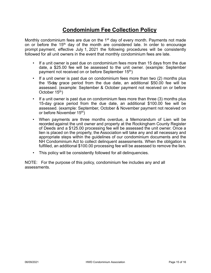### **Condominium Fee Collection Policy**

Monthly condominium fees are due on the  $1<sup>st</sup>$  day of every month. Payments not made on or before the  $15<sup>th</sup>$  day of the month are considered late. In order to encourage prompt payment, effective July 1, 2021 the following procedures will be consistently followed for all unit owners in the event that monthly condominium fees are late.

- If a unit owner is past due on condominium fees more than 15 days from the due date, a \$25.00 fee will be assessed to the unit owner. (example: September payment not received on or before September 15th)
- If a unit owner is past due on condominium fees more than two (2) months plus the 15-day grace period from the due date, an additional \$50.00 fee will be assessed. (example: September & October payment not received on or before October 15<sup>th</sup>)
- If a unit owner is past due on condominium fees more than three (3) months plus 15-day grace period from the due date, an additional \$100.00 fee will be assessed. (example: September, October & November payment not received on or before November 15<sup>th</sup>)
- When payments are three months overdue, a Memorandum of Lien will be recorded against the unit owner and property at the Rockingham County Register of Deeds and a \$125.00 processing fee will be assessed the unit owner. Once a lien is placed on the property, the Association will take any and all necessary and appropriate steps within the guidelines of our condominium documents and the NH Condominium Act to collect delinquent assessments. When the obligation is fulfilled, an additional \$100.00 processing fee will be assessed to remove the lien.
- This policy will be consistently followed for all delinquencies.

NOTE: For the purpose of this policy, condominium fee includes any and all assessments.